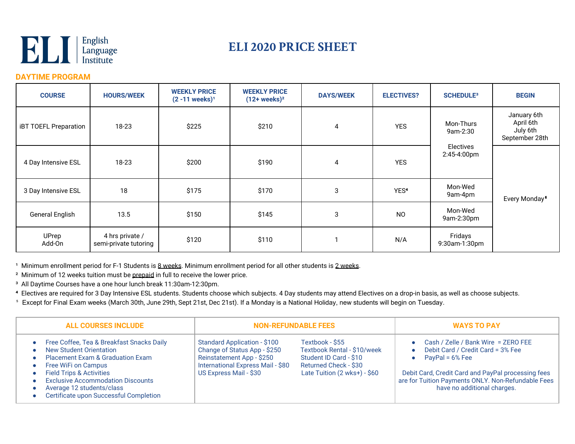

## **ELI 2020 PRICE SHEET**

## **DAYTIME PROGRAM**

| <b>COURSE</b>                | <b>HOURS/WEEK</b>                        | <b>WEEKLY PRICE</b><br>$(2 - 11$ weeks) <sup>1</sup> | <b>WEEKLY PRICE</b><br>$(12+ weeks)^2$ | <b>DAYS/WEEK</b> | <b>ELECTIVES?</b> | <b>SCHEDULE<sup>3</sup></b> | <b>BEGIN</b>                                           |
|------------------------------|------------------------------------------|------------------------------------------------------|----------------------------------------|------------------|-------------------|-----------------------------|--------------------------------------------------------|
| <b>iBT TOEFL Preparation</b> | 18-23                                    | \$225                                                | \$210                                  | 4                | <b>YES</b>        | Mon-Thurs<br>9am-2:30       | January 6th<br>April 6th<br>July 6th<br>September 28th |
| 4 Day Intensive ESL          | 18-23                                    | \$200                                                | \$190                                  | $\overline{4}$   | <b>YES</b>        | Electives<br>2:45-4:00pm    |                                                        |
| 3 Day Intensive ESL          | 18                                       | \$175                                                | \$170                                  | 3                | YES <sup>4</sup>  | Mon-Wed<br>9am-4pm          | Every Monday <sup>5</sup>                              |
| <b>General English</b>       | 13.5                                     | \$150                                                | \$145                                  | 3                | <b>NO</b>         | Mon-Wed<br>9am-2:30pm       |                                                        |
| UPrep<br>Add-On              | 4 hrs private /<br>semi-private tutoring | \$120                                                | \$110                                  |                  | N/A               | Fridays<br>9:30am-1:30pm    |                                                        |

<sup>1</sup> Minimum enrollment period for F-1 Students is 8 weeks. Minimum enrollment period for all other students is 2 weeks.

² Minimum of 12 weeks tuition must be prepaid in full to receive the lower price.

³ All Daytime Courses have a one hour lunch break 11:30am-12:30pm.

**⁴** Electives are required for 3 Day Intensive ESL students. Students choose which subjects. 4 Day students may attend Electives on a drop-in basis, as well as choose subjects.

⁵ Except for Final Exam weeks (March 30th, June 29th, Sept 21st, Dec 21st). If a Monday is a National Holiday, new students will begin on Tuesday.

| <b>ALL COURSES INCLUDE</b>                                                                                                                                                                                                                                                                                  |                                                                                                                                                                 | <b>NON-REFUNDABLE FEES</b>                                                                                                        | <b>WAYS TO PAY</b>                                                                                                                                                                                                                          |  |
|-------------------------------------------------------------------------------------------------------------------------------------------------------------------------------------------------------------------------------------------------------------------------------------------------------------|-----------------------------------------------------------------------------------------------------------------------------------------------------------------|-----------------------------------------------------------------------------------------------------------------------------------|---------------------------------------------------------------------------------------------------------------------------------------------------------------------------------------------------------------------------------------------|--|
| Free Coffee, Tea & Breakfast Snacks Daily<br>New Student Orientation<br><b>Placement Exam &amp; Graduation Exam</b><br>Free WiFi on Campus<br><b>Field Trips &amp; Activities</b><br><b>Exclusive Accommodation Discounts</b><br>Average 12 students/class<br><b>Certificate upon Successful Completion</b> | <b>Standard Application - \$100</b><br>Change of Status App - \$250<br>Reinstatement App - \$250<br>International Express Mail - \$80<br>US Express Mail - \$30 | Textbook - \$55<br>Textbook Rental - \$10/week<br>Student ID Card - \$10<br>Returned Check - \$30<br>Late Tuition (2 wks+) - \$60 | • Cash / Zelle / Bank Wire = ZERO FEE<br>Debit Card / Credit Card = 3% Fee<br>PayPal = $6\%$ Fee<br>Debit Card, Credit Card and PayPal processing fees<br>are for Tuition Payments ONLY. Non-Refundable Fees<br>have no additional charges. |  |